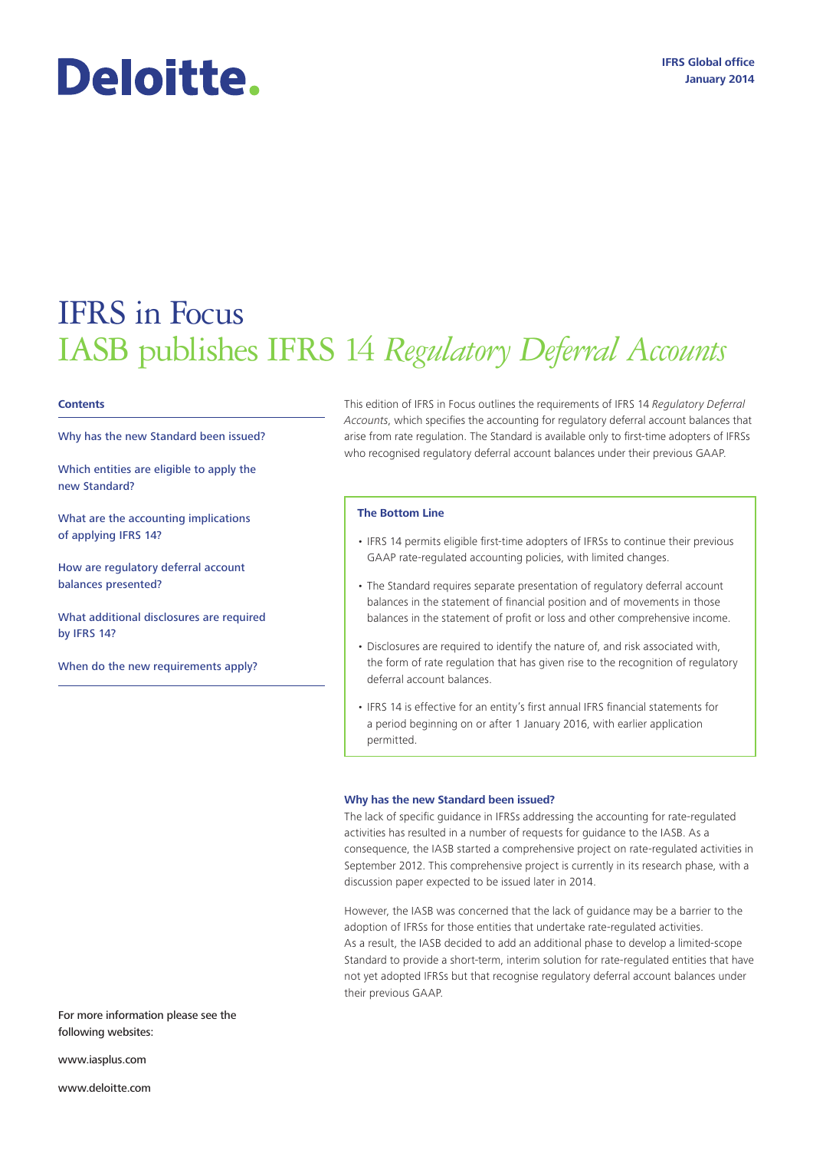# Deloitte.

## IFRS in Focus IASB publishes IFRS 14 *Regulatory Deferral Accounts*

#### **Contents**

Why has the new Standard been issued?

Which entities are eligible to apply the new Standard?

What are the accounting implications of applying IFRS 14?

How are regulatory deferral account balances presented?

What additional disclosures are required by IFRS 14?

When do the new requirements apply?

This edition of IFRS in Focus outlines the requirements of IFRS 14 *Regulatory Deferral Accounts*, which specifies the accounting for regulatory deferral account balances that arise from rate regulation. The Standard is available only to first-time adopters of IFRSs who recognised regulatory deferral account balances under their previous GAAP.

#### **The Bottom Line**

- IFRS 14 permits eligible first-time adopters of IFRSs to continue their previous GAAP rate-regulated accounting policies, with limited changes.
- The Standard requires separate presentation of regulatory deferral account balances in the statement of financial position and of movements in those balances in the statement of profit or loss and other comprehensive income.
- Disclosures are required to identify the nature of, and risk associated with, the form of rate regulation that has given rise to the recognition of regulatory deferral account balances.
- IFRS 14 is effective for an entity's first annual IFRS financial statements for a period beginning on or after 1 January 2016, with earlier application permitted.

#### **Why has the new Standard been issued?**

The lack of specific guidance in IFRSs addressing the accounting for rate-regulated activities has resulted in a number of requests for guidance to the IASB. As a consequence, the IASB started a comprehensive project on rate-regulated activities in September 2012. This comprehensive project is currently in its research phase, with a discussion paper expected to be issued later in 2014.

However, the IASB was concerned that the lack of guidance may be a barrier to the adoption of IFRSs for those entities that undertake rate-regulated activities. As a result, the IASB decided to add an additional phase to develop a limited-scope Standard to provide a short-term, interim solution for rate-regulated entities that have not yet adopted IFRSs but that recognise regulatory deferral account balances under their previous GAAP.

For more information please see the following websites:

www.iasplus.com

www.deloitte.com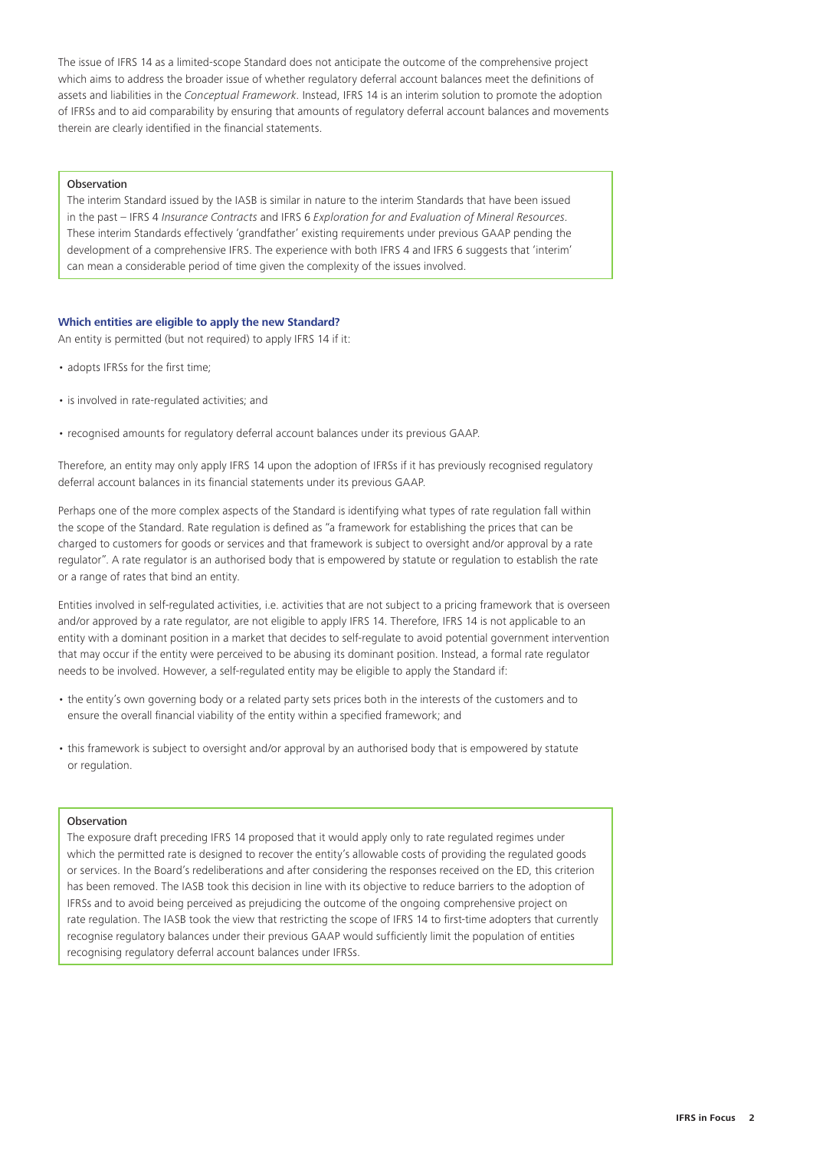The issue of IFRS 14 as a limited-scope Standard does not anticipate the outcome of the comprehensive project which aims to address the broader issue of whether regulatory deferral account balances meet the definitions of assets and liabilities in the *Conceptual Framework*. Instead, IFRS 14 is an interim solution to promote the adoption of IFRSs and to aid comparability by ensuring that amounts of regulatory deferral account balances and movements therein are clearly identified in the financial statements.

#### **Observation**

The interim Standard issued by the IASB is similar in nature to the interim Standards that have been issued in the past – IFRS 4 *Insurance Contracts* and IFRS 6 *Exploration for and Evaluation of Mineral Resources*. These interim Standards effectively 'grandfather' existing requirements under previous GAAP pending the development of a comprehensive IFRS. The experience with both IFRS 4 and IFRS 6 suggests that 'interim' can mean a considerable period of time given the complexity of the issues involved.

#### **Which entities are eligible to apply the new Standard?**

An entity is permitted (but not required) to apply IFRS 14 if it:

- adopts IFRSs for the first time;
- is involved in rate-regulated activities; and
- recognised amounts for regulatory deferral account balances under its previous GAAP.

Therefore, an entity may only apply IFRS 14 upon the adoption of IFRSs if it has previously recognised regulatory deferral account balances in its financial statements under its previous GAAP.

Perhaps one of the more complex aspects of the Standard is identifying what types of rate regulation fall within the scope of the Standard. Rate regulation is defined as "a framework for establishing the prices that can be charged to customers for goods or services and that framework is subject to oversight and/or approval by a rate regulator". A rate regulator is an authorised body that is empowered by statute or regulation to establish the rate or a range of rates that bind an entity.

Entities involved in self-regulated activities, i.e. activities that are not subject to a pricing framework that is overseen and/or approved by a rate regulator, are not eligible to apply IFRS 14. Therefore, IFRS 14 is not applicable to an entity with a dominant position in a market that decides to self-regulate to avoid potential government intervention that may occur if the entity were perceived to be abusing its dominant position. Instead, a formal rate regulator needs to be involved. However, a self-regulated entity may be eligible to apply the Standard if:

- the entity's own governing body or a related party sets prices both in the interests of the customers and to ensure the overall financial viability of the entity within a specified framework; and
- this framework is subject to oversight and/or approval by an authorised body that is empowered by statute or regulation.

#### Observation

The exposure draft preceding IFRS 14 proposed that it would apply only to rate regulated regimes under which the permitted rate is designed to recover the entity's allowable costs of providing the regulated goods or services. In the Board's redeliberations and after considering the responses received on the ED, this criterion has been removed. The IASB took this decision in line with its objective to reduce barriers to the adoption of IFRSs and to avoid being perceived as prejudicing the outcome of the ongoing comprehensive project on rate regulation. The IASB took the view that restricting the scope of IFRS 14 to first-time adopters that currently recognise regulatory balances under their previous GAAP would sufficiently limit the population of entities recognising regulatory deferral account balances under IFRSs.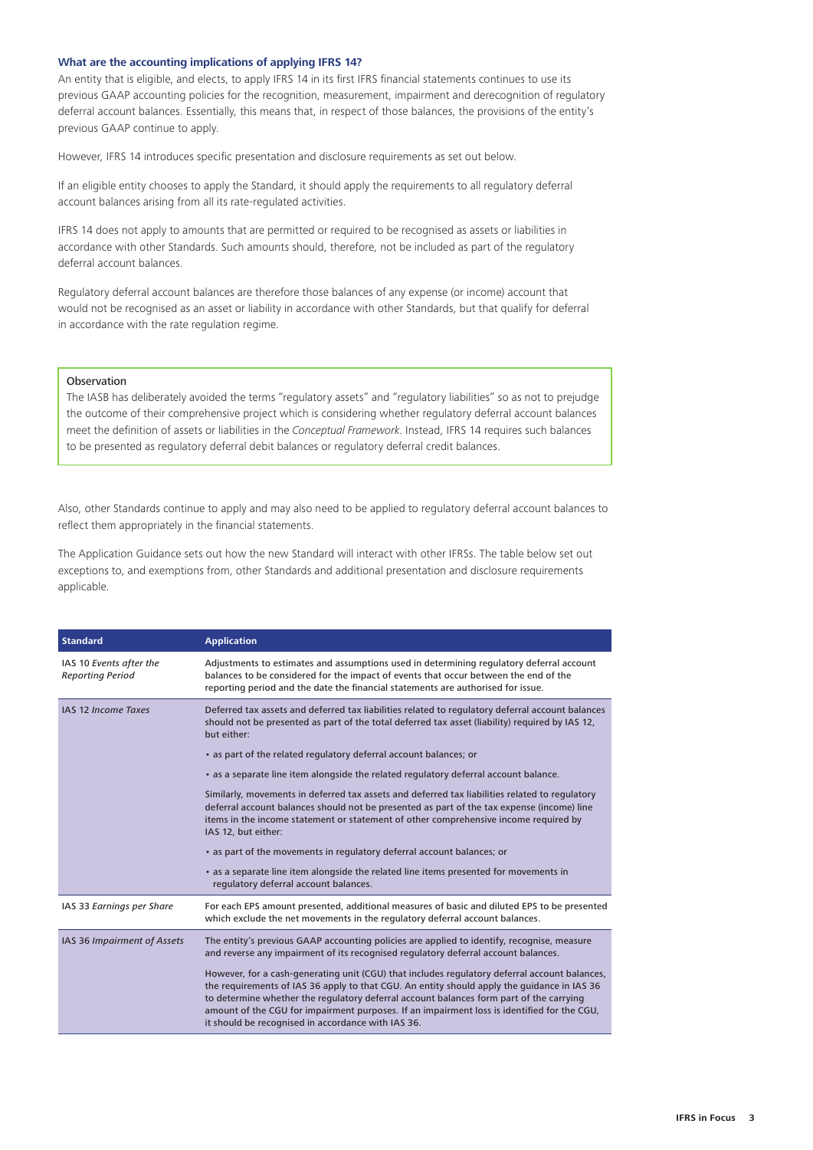#### **What are the accounting implications of applying IFRS 14?**

An entity that is eligible, and elects, to apply IFRS 14 in its first IFRS financial statements continues to use its previous GAAP accounting policies for the recognition, measurement, impairment and derecognition of regulatory deferral account balances. Essentially, this means that, in respect of those balances, the provisions of the entity's previous GAAP continue to apply.

However, IFRS 14 introduces specific presentation and disclosure requirements as set out below.

If an eligible entity chooses to apply the Standard, it should apply the requirements to all regulatory deferral account balances arising from all its rate-regulated activities.

IFRS 14 does not apply to amounts that are permitted or required to be recognised as assets or liabilities in accordance with other Standards. Such amounts should, therefore, not be included as part of the regulatory deferral account balances.

Regulatory deferral account balances are therefore those balances of any expense (or income) account that would not be recognised as an asset or liability in accordance with other Standards, but that qualify for deferral in accordance with the rate regulation regime.

#### Observation

The IASB has deliberately avoided the terms "regulatory assets" and "regulatory liabilities" so as not to prejudge the outcome of their comprehensive project which is considering whether regulatory deferral account balances meet the definition of assets or liabilities in the *Conceptual Framework*. Instead, IFRS 14 requires such balances to be presented as regulatory deferral debit balances or regulatory deferral credit balances.

Also, other Standards continue to apply and may also need to be applied to regulatory deferral account balances to reflect them appropriately in the financial statements.

The Application Guidance sets out how the new Standard will interact with other IFRSs. The table below set out exceptions to, and exemptions from, other Standards and additional presentation and disclosure requirements applicable.

| <b>Standard</b>                                    | <b>Application</b>                                                                                                                                                                                                                                                                                                                                                                                                                           |
|----------------------------------------------------|----------------------------------------------------------------------------------------------------------------------------------------------------------------------------------------------------------------------------------------------------------------------------------------------------------------------------------------------------------------------------------------------------------------------------------------------|
| IAS 10 Events after the<br><b>Reporting Period</b> | Adjustments to estimates and assumptions used in determining regulatory deferral account<br>balances to be considered for the impact of events that occur between the end of the<br>reporting period and the date the financial statements are authorised for issue.                                                                                                                                                                         |
| <b>IAS 12 Income Taxes</b>                         | Deferred tax assets and deferred tax liabilities related to regulatory deferral account balances<br>should not be presented as part of the total deferred tax asset (liability) required by IAS 12,<br>but either:                                                                                                                                                                                                                           |
|                                                    | • as part of the related regulatory deferral account balances; or                                                                                                                                                                                                                                                                                                                                                                            |
|                                                    | • as a separate line item alongside the related regulatory deferral account balance.                                                                                                                                                                                                                                                                                                                                                         |
|                                                    | Similarly, movements in deferred tax assets and deferred tax liabilities related to regulatory<br>deferral account balances should not be presented as part of the tax expense (income) line<br>items in the income statement or statement of other comprehensive income required by<br>IAS 12, but either:                                                                                                                                  |
|                                                    | • as part of the movements in regulatory deferral account balances; or                                                                                                                                                                                                                                                                                                                                                                       |
|                                                    | • as a separate line item alongside the related line items presented for movements in<br>regulatory deferral account balances.                                                                                                                                                                                                                                                                                                               |
| IAS 33 Earnings per Share                          | For each EPS amount presented, additional measures of basic and diluted EPS to be presented<br>which exclude the net movements in the regulatory deferral account balances.                                                                                                                                                                                                                                                                  |
| IAS 36 Impairment of Assets                        | The entity's previous GAAP accounting policies are applied to identify, recognise, measure<br>and reverse any impairment of its recognised regulatory deferral account balances.                                                                                                                                                                                                                                                             |
|                                                    | However, for a cash-generating unit (CGU) that includes regulatory deferral account balances,<br>the requirements of IAS 36 apply to that CGU. An entity should apply the quidance in IAS 36<br>to determine whether the regulatory deferral account balances form part of the carrying<br>amount of the CGU for impairment purposes. If an impairment loss is identified for the CGU,<br>it should be recognised in accordance with IAS 36. |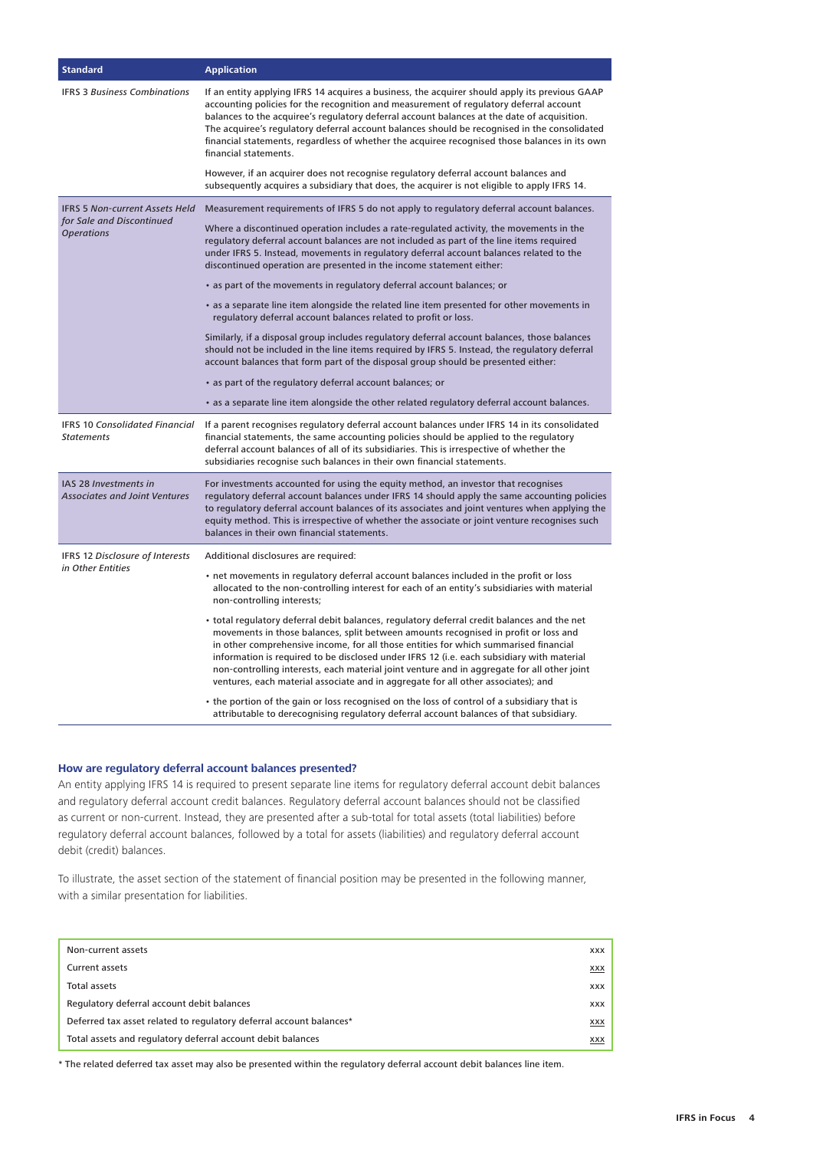| <b>Standard</b>                                                                         | <b>Application</b>                                                                                                                                                                                                                                                                                                                                                                                                                                                                                                                                          |
|-----------------------------------------------------------------------------------------|-------------------------------------------------------------------------------------------------------------------------------------------------------------------------------------------------------------------------------------------------------------------------------------------------------------------------------------------------------------------------------------------------------------------------------------------------------------------------------------------------------------------------------------------------------------|
| <b>IFRS 3 Business Combinations</b>                                                     | If an entity applying IFRS 14 acquires a business, the acquirer should apply its previous GAAP<br>accounting policies for the recognition and measurement of regulatory deferral account<br>balances to the acquiree's regulatory deferral account balances at the date of acquisition.<br>The acquiree's regulatory deferral account balances should be recognised in the consolidated<br>financial statements, regardless of whether the acquiree recognised those balances in its own<br>financial statements.                                           |
|                                                                                         | However, if an acquirer does not recognise regulatory deferral account balances and<br>subsequently acquires a subsidiary that does, the acquirer is not eligible to apply IFRS 14.                                                                                                                                                                                                                                                                                                                                                                         |
| <b>IFRS 5 Non-current Assets Held</b><br>for Sale and Discontinued<br><b>Operations</b> | Measurement requirements of IFRS 5 do not apply to regulatory deferral account balances.                                                                                                                                                                                                                                                                                                                                                                                                                                                                    |
|                                                                                         | Where a discontinued operation includes a rate-regulated activity, the movements in the<br>regulatory deferral account balances are not included as part of the line items required<br>under IFRS 5. Instead, movements in regulatory deferral account balances related to the<br>discontinued operation are presented in the income statement either:                                                                                                                                                                                                      |
|                                                                                         | • as part of the movements in regulatory deferral account balances; or                                                                                                                                                                                                                                                                                                                                                                                                                                                                                      |
|                                                                                         | • as a separate line item alongside the related line item presented for other movements in<br>regulatory deferral account balances related to profit or loss.                                                                                                                                                                                                                                                                                                                                                                                               |
|                                                                                         | Similarly, if a disposal group includes regulatory deferral account balances, those balances<br>should not be included in the line items required by IFRS 5. Instead, the regulatory deferral<br>account balances that form part of the disposal group should be presented either:                                                                                                                                                                                                                                                                          |
|                                                                                         | • as part of the regulatory deferral account balances; or                                                                                                                                                                                                                                                                                                                                                                                                                                                                                                   |
|                                                                                         | • as a separate line item alongside the other related regulatory deferral account balances.                                                                                                                                                                                                                                                                                                                                                                                                                                                                 |
| IFRS 10 Consolidated Financial<br><b>Statements</b>                                     | If a parent recognises regulatory deferral account balances under IFRS 14 in its consolidated<br>financial statements, the same accounting policies should be applied to the regulatory<br>deferral account balances of all of its subsidiaries. This is irrespective of whether the<br>subsidiaries recognise such balances in their own financial statements.                                                                                                                                                                                             |
| IAS 28 Investments in<br><b>Associates and Joint Ventures</b>                           | For investments accounted for using the equity method, an investor that recognises<br>regulatory deferral account balances under IFRS 14 should apply the same accounting policies<br>to regulatory deferral account balances of its associates and joint ventures when applying the<br>equity method. This is irrespective of whether the associate or joint venture recognises such<br>balances in their own financial statements.                                                                                                                        |
| IFRS 12 Disclosure of Interests                                                         | Additional disclosures are required:                                                                                                                                                                                                                                                                                                                                                                                                                                                                                                                        |
| in Other Entities                                                                       | • net movements in regulatory deferral account balances included in the profit or loss<br>allocated to the non-controlling interest for each of an entity's subsidiaries with material<br>non-controlling interests;                                                                                                                                                                                                                                                                                                                                        |
|                                                                                         | • total regulatory deferral debit balances, regulatory deferral credit balances and the net<br>movements in those balances, split between amounts recognised in profit or loss and<br>in other comprehensive income, for all those entities for which summarised financial<br>information is required to be disclosed under IFRS 12 (i.e. each subsidiary with material<br>non-controlling interests, each material joint venture and in aggregate for all other joint<br>ventures, each material associate and in aggregate for all other associates); and |
|                                                                                         | • the portion of the gain or loss recognised on the loss of control of a subsidiary that is<br>attributable to derecognising regulatory deferral account balances of that subsidiary.                                                                                                                                                                                                                                                                                                                                                                       |

### **How are regulatory deferral account balances presented?**

An entity applying IFRS 14 is required to present separate line items for regulatory deferral account debit balances and regulatory deferral account credit balances. Regulatory deferral account balances should not be classified as current or non-current. Instead, they are presented after a sub-total for total assets (total liabilities) before regulatory deferral account balances, followed by a total for assets (liabilities) and regulatory deferral account debit (credit) balances.

To illustrate, the asset section of the statement of financial position may be presented in the following manner, with a similar presentation for liabilities.

| Non-current assets                                                  | <b>XXX</b> |
|---------------------------------------------------------------------|------------|
| <b>Current assets</b>                                               | XXX        |
| Total assets                                                        | <b>XXX</b> |
| Regulatory deferral account debit balances                          | <b>XXX</b> |
| Deferred tax asset related to regulatory deferral account balances* |            |
| Total assets and regulatory deferral account debit balances         |            |

\* The related deferred tax asset may also be presented within the regulatory deferral account debit balances line item.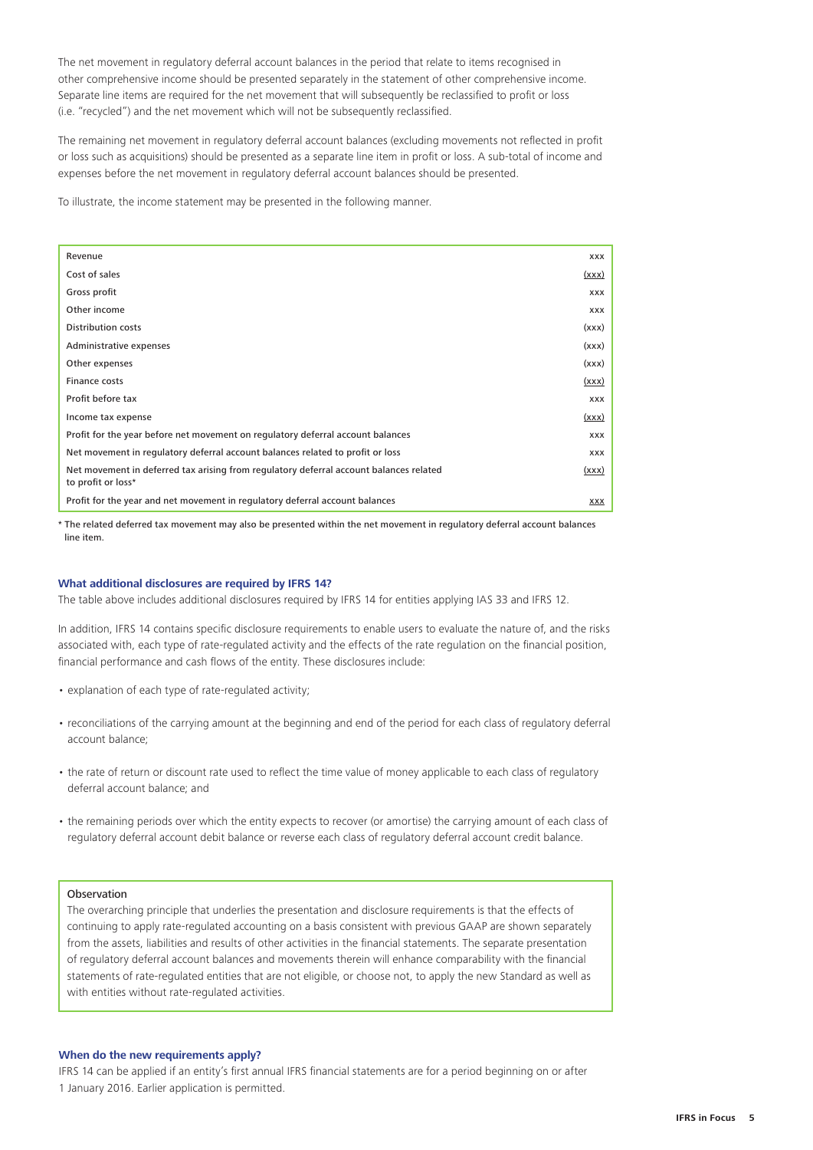The net movement in regulatory deferral account balances in the period that relate to items recognised in other comprehensive income should be presented separately in the statement of other comprehensive income. Separate line items are required for the net movement that will subsequently be reclassified to profit or loss (i.e. "recycled") and the net movement which will not be subsequently reclassified.

The remaining net movement in regulatory deferral account balances (excluding movements not reflected in profit or loss such as acquisitions) should be presented as a separate line item in profit or loss. A sub-total of income and expenses before the net movement in regulatory deferral account balances should be presented.

To illustrate, the income statement may be presented in the following manner.

| Revenue                                                                                                      | <b>XXX</b>   |
|--------------------------------------------------------------------------------------------------------------|--------------|
| Cost of sales                                                                                                | (xxx)        |
| Gross profit                                                                                                 | <b>XXX</b>   |
| Other income                                                                                                 | <b>XXX</b>   |
| <b>Distribution costs</b>                                                                                    | (xxx)        |
| Administrative expenses                                                                                      | (xxx)        |
| Other expenses                                                                                               | (xxx)        |
| Finance costs                                                                                                | (xxx)        |
| Profit before tax                                                                                            | <b>XXX</b>   |
| Income tax expense                                                                                           | (xxx)        |
| Profit for the year before net movement on regulatory deferral account balances                              | <b>XXX</b>   |
| Net movement in regulatory deferral account balances related to profit or loss                               | <b>XXX</b>   |
| Net movement in deferred tax arising from regulatory deferral account balances related<br>to profit or loss* | <u>(xxx)</u> |
| Profit for the year and net movement in regulatory deferral account balances                                 | XXX          |

\* The related deferred tax movement may also be presented within the net movement in regulatory deferral account balances line item.

#### **What additional disclosures are required by IFRS 14?**

The table above includes additional disclosures required by IFRS 14 for entities applying IAS 33 and IFRS 12.

In addition, IFRS 14 contains specific disclosure requirements to enable users to evaluate the nature of, and the risks associated with, each type of rate-regulated activity and the effects of the rate regulation on the financial position, financial performance and cash flows of the entity. These disclosures include:

- explanation of each type of rate-regulated activity;
- reconciliations of the carrying amount at the beginning and end of the period for each class of regulatory deferral account balance;
- the rate of return or discount rate used to reflect the time value of money applicable to each class of regulatory deferral account balance; and
- the remaining periods over which the entity expects to recover (or amortise) the carrying amount of each class of regulatory deferral account debit balance or reverse each class of regulatory deferral account credit balance.

### Observation

The overarching principle that underlies the presentation and disclosure requirements is that the effects of continuing to apply rate-regulated accounting on a basis consistent with previous GAAP are shown separately from the assets, liabilities and results of other activities in the financial statements. The separate presentation of regulatory deferral account balances and movements therein will enhance comparability with the financial statements of rate-regulated entities that are not eligible, or choose not, to apply the new Standard as well as with entities without rate-regulated activities.

#### **When do the new requirements apply?**

IFRS 14 can be applied if an entity's first annual IFRS financial statements are for a period beginning on or after 1 January 2016. Earlier application is permitted.